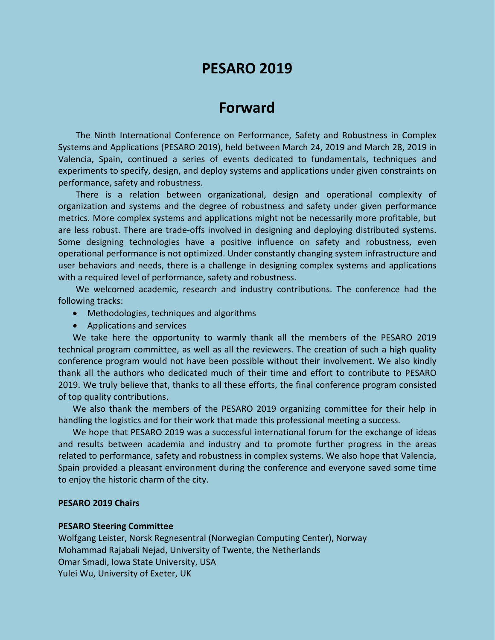# **PESARO 2019**

# **Forward**

The Ninth International Conference on Performance, Safety and Robustness in Complex Systems and Applications (PESARO 2019), held between March 24, 2019 and March 28, 2019 in Valencia, Spain, continued a series of events dedicated to fundamentals, techniques and experiments to specify, design, and deploy systems and applications under given constraints on performance, safety and robustness.

There is a relation between organizational, design and operational complexity of organization and systems and the degree of robustness and safety under given performance metrics. More complex systems and applications might not be necessarily more profitable, but are less robust. There are trade-offs involved in designing and deploying distributed systems. Some designing technologies have a positive influence on safety and robustness, even operational performance is not optimized. Under constantly changing system infrastructure and user behaviors and needs, there is a challenge in designing complex systems and applications with a required level of performance, safety and robustness.

We welcomed academic, research and industry contributions. The conference had the following tracks:

- Methodologies, techniques and algorithms
- Applications and services

We take here the opportunity to warmly thank all the members of the PESARO 2019 technical program committee, as well as all the reviewers. The creation of such a high quality conference program would not have been possible without their involvement. We also kindly thank all the authors who dedicated much of their time and effort to contribute to PESARO 2019. We truly believe that, thanks to all these efforts, the final conference program consisted of top quality contributions.

We also thank the members of the PESARO 2019 organizing committee for their help in handling the logistics and for their work that made this professional meeting a success.

We hope that PESARO 2019 was a successful international forum for the exchange of ideas and results between academia and industry and to promote further progress in the areas related to performance, safety and robustness in complex systems. We also hope that Valencia, Spain provided a pleasant environment during the conference and everyone saved some time to enjoy the historic charm of the city.

#### **PESARO 2019 Chairs**

#### **PESARO Steering Committee**

Wolfgang Leister, Norsk Regnesentral (Norwegian Computing Center), Norway Mohammad Rajabali Nejad, University of Twente, the Netherlands Omar Smadi, Iowa State University, USA Yulei Wu, University of Exeter, UK